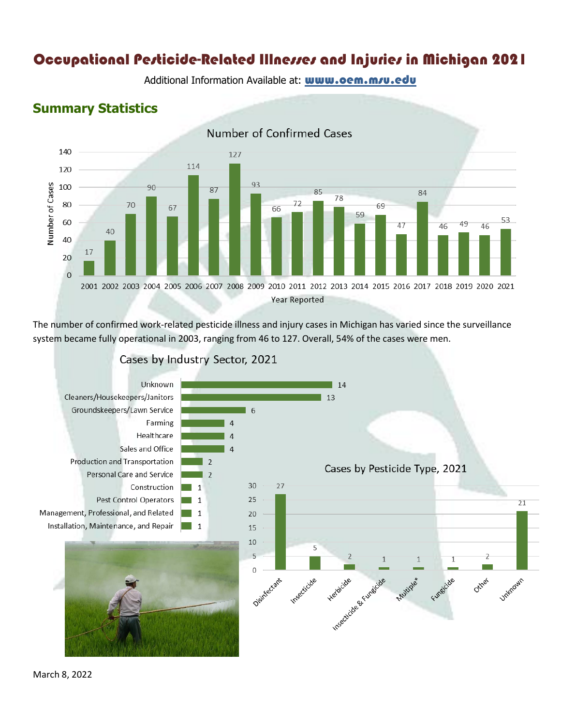# Occupational Pesticide-Related Illnesses and Injuries in Michigan 2021

Additional Information Available at: **www.oem.m/u.edu** 

## **Summary Statistics**



The number of confirmed work-related pesticide illness and injury cases in Michigan has varied since the surveillance system became fully operational in 2003, ranging from 46 to 127. Overall, 54% of the cases were men.



Cases by Industry Sector, 2021

March 8, 2022